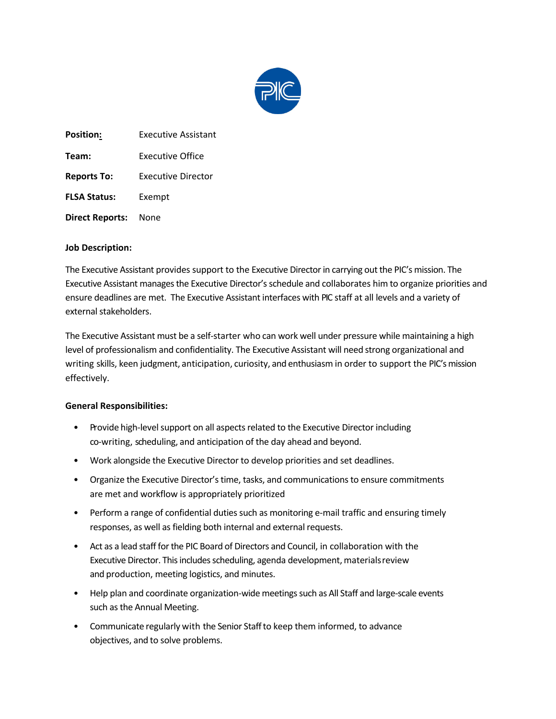

**Position:** Executive Assistant **Team:** Executive Office **Reports To:** Executive Director **FLSA Status:** Exempt **Direct Reports:** None

## **Job Description:**

The Executive Assistant provides support to the Executive Director in carrying out the PIC's mission. The Executive Assistant manages the Executive Director's schedule and collaborates him to organize priorities and ensure deadlines are met. The Executive Assistant interfaces with PIC staff at all levels and a variety of external stakeholders.

The Executive Assistant must be a self-starter who can work well under pressure while maintaining a high level of professionalism and confidentiality. The Executive Assistant will need strong organizational and writing skills, keen judgment, anticipation, curiosity, and enthusiasm in order to support the PIC's mission effectively.

## **General Responsibilities:**

- Provide high-level support on all aspects related to the Executive Director including co-writing, scheduling, and anticipation of the day ahead and beyond.
- Work alongside the Executive Director to develop priorities and set deadlines.
- Organize the Executive Director's time, tasks, and communications to ensure commitments are met and workflow is appropriately prioritized
- Perform a range of confidential duties such as monitoring e-mail traffic and ensuring timely responses, as well as fielding both internal and external requests.
- Act as a lead staff for the PIC Board of Directors and Council, in collaboration with the Executive Director. This includes scheduling, agenda development, materialsreview and production, meeting logistics, and minutes.
- Help plan and coordinate organization-wide meetings such as All Staff and large-scale events such as the Annual Meeting.
- Communicate regularly with the Senior Staffto keep them informed, to advance objectives, and to solve problems.